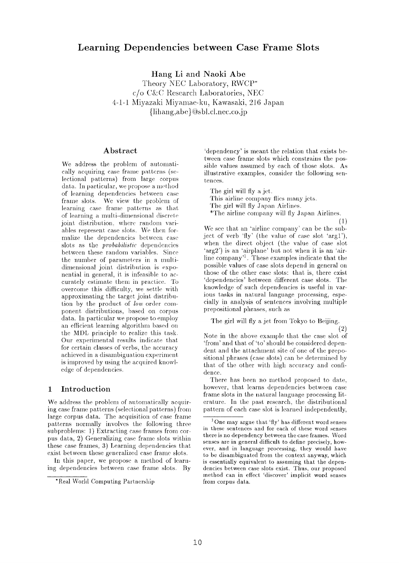# **Learning Dependencies between Case Frame Slots**

**Hang** Li and **Naoki Abe** 

Theory NEC Laboratory, RWCP\* c/o C&C Research Laboratories, NEC 4-1-1 Miyazaki Miyamae-ku, Kawasaki, 216 Japan  ${\{lihang,abe\}@sbl.cl. nec.co.jp$ 

### **Abstract**

We address the problem of automatically acquiring case frame patterns (selectional patterns) from large corpus data. In particular, we propose a method of learning dependencies between case frame slots. We view the problem of learning case frame patterns as that of learning a multi-dimensional discrete joint distribution, where random variables represent case slots. We then formalize the dependencies between case slots as the *probabilislic* dependencies between these random variables. Since the number of parameters in a multidimensional joint distribution is exponential in general, it is infeasible to accurately estimate them in practice. To overcome this difficulty, we settle with approximating the target joint distribution by the product of *low* order component distributions, based on corpus data. In particular we propose to employ an efficient learning algorithm based on the MDL principle to realize this task. Our experimental results indicate that for certain classes of verbs, the accuracy achieved in a disambiguation experiment is improved by using the acquired knowledge of dependencies.

### **1 Introduction**

We address the problem of automatically acquiring case frame patterns (selectional patterns) from large corpus data. The acquisition of case frame patterns normally involves the following three subproblems: 1) Extracting case frames from corpus data, 2) Generalizing case frame slots within these case frames, 3) Learning dependencies that exist between these generalized case frame slots.

In this paper, we propose a method of learning dependencies between case frame slots. By

'dependency' is meant the relation that exists between case frame slots which constrains the possible values assumed by each of those slots. As illustrative examples, consider the following sentences.

The girl will fly a jet.

This airline company flies many jets.

The girl will fly Japan Airlines.

\*The airline company will fly Japan Airlines.

(1)

We see that an 'airline company' can be the subject of verb 'fly' (the value of case slot 'argl'), when the direct object (the value of ease slot 'arg2') is an 'airplane' but not when it is an 'airline company<sup>1</sup>. These examples indicate that the possible values of case slots depend in general on those of the other case slots: that is, there exist 'dependencies' between different case slots. The knowledge of such dependencies is useful in various tasks in natural language processing, especially in analysis of sentences involving multiple prepositional phrases, such as

The girl will fly a jet from Tokyo to Beijing.

**(2)** 

Note in the above example that the case slot of 'from' and that of 'to' should be considered dependent and the attachment site of one of the prepositional phrases (case slots) can be determined by that of the other with high accuracy and confidence.

There has been no method proposed to date, however, that learns dependencies between case frame slots in the natural language processing literature. In the past research, the distributional pattern of each case slot is learned independently,

<sup>\*</sup>Real World Computing Partnership

<sup>&</sup>lt;sup>1</sup> One may argue that 'fly' has different word senses in these sentences and for each of these word senses there is no dependency between the case frames. Word senses are in general difficult to define precisely, however, and in language processing, they would have to be disambiguated from the context anyway, which is essentially equivalent to assuming that the dependencies between case slots exist. Thus, our proposed method can in effect 'discover' implicit word senses from corpus data.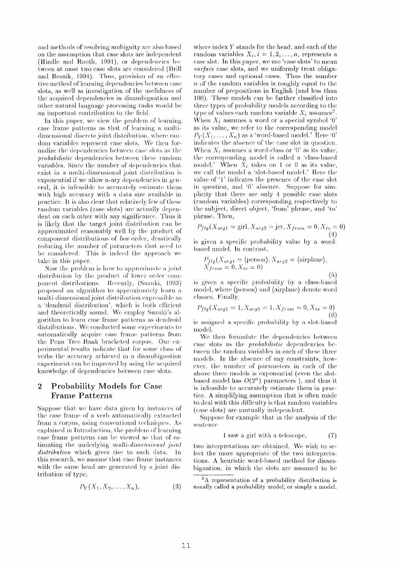and methods of resolving ambiguity are also based on the assumption that case slots are independent (Hindle and Rooth, 1991), or dependencies between at most two case slots are considered (Brill and Resnik, 1994). Thus, provision of an effective method of learning dependencies between case slots, as well as investigation of the usefulness of the acquired dependencies in disambiguation and other natural language processing tasks would be an important contribution to the field.

In this paper, wc view the problem of learning case frame patterns as that of learning a multidimensional discrete joint distribution, where raw doni variables represent case slots. We then formalize the dependencies between case slots as the *probabilistic* dependencies between these random variables. Since the number of dependencies that exist in a multi-dimensional joint distribution is exponential if we allow n-ary dependencies in general, it is infeasible to accurately estimate them with high accuracy with a data size available in practice. It is also clear that relatively few of these random variables (case slots) are actually dependent on each other with any signiticance. Thus it is likely that the target joint distribution can be approximated reasonably well by the product of component distributions of *low* order, drastically reducing the number of parameters that need to be considered. This is indeed the approach we take in this paper.

Now the problem is how to approximate a joint distribution by the product of lower order component distributions. Recently, (Suzuki, 1993) proposed an algorithm to approximately learn a multi-dimensional joint distribution expressible as a 'dendroid distribution', which is both efticient and theoretically sound. We employ Suzuki's algorithm to learn case frame patterns as dendroid distributions. We conducted some experiments to automatically acquire case frame patterns from the Penn Tree Bank bracketed corpus. Our experimental results indicate that for some class of verbs the accuracy achieved in a disambiguation experiment can be improved by using the acquired knowledge of dependencies between case slots.

## **2** Probability Models for Case Frame Patterns

Suppose that we have data given by instances of the case frame of a verb automatically extracted from a corpus, using conventional techniques. As explained in Introduction, the problem of learning case frame patterns can be viewed as that of estimating the underlying *multi-dimensional joint distribution* which gives rise to such data. In this research, we assume that case frame instances with the same head are generated by a joint distribution of type,

$$
P_Y(X_1, X_2, \ldots, X_n), \tag{3}
$$

**where index Y stands for the head, and each of the**  random variables  $X_i, i = 1, 2, ..., n$ , represents a case slot. In this paper, we use 'case slots' to mean surface case slots, and we uniformly treat obligatory cases and optional cases. Thus the number  $n$  of the random variables is roughly equal to the number of prepositions in English (and less than 100). These models can be further classified into three types of probability models according to the type of values each random variable  $X_i$  assumes<sup>2</sup>. When  $X_i$  assumes a word or a special symbol '0' as its value, we refer to the corresponding model  $P_Y(X_1,\ldots,X_n)$  as a 'word-based model.' Here '0' indicates the absence of the case slot in question. When  $X_i$  assumes a word-class or '0' as its value, the corresponding model is called a 'class-based model.' When  $\bar{X}_i$  takes on 1 or 0 as its value, we call the model a 'slot-based model.' Here the value of 'l' indicates the presence of the case slot in question, and '0' absence. Suppose for simplicity that there are only 4 possible case slots (random variables) corresponding respectively to the subject, direct object, 'front' phrase, and 'to' phrase. Then,

$$
P_{fly}(X_{arg1} = \text{girl}, X_{arg2} = \text{jet}, X_{from} = 0, X_{to} = 0)
$$
\n(4)

is given a specific probability value by a wordbased model. In contrast,

$$
P_{fly}(X_{arg1} = \langle \text{person} \rangle, X_{arg2} = \langle \text{airplane} \rangle,
$$
  

$$
X_{from} = 0, X_{to} = 0)
$$
 (5)

is given a specific probability by a class-based model, where (person) and (airplane) denote word classes. Finally,

$$
P_{fly}(X_{arg1} = 1, X_{arg2} = 1, X_{from} = 0, X_{to} = 0)
$$
\n(6)

is assigned a specific probability by a slot-based model.

We then formulate the dependencies between case slots as the *probabilislic* dependencies between the random variables in each of these three models. In the absence of any constraints, however, the number of parameters in each of the above three models is exponential (even the slotbased model has  $O(2^n)$  parameters), and thus it is infeasible to accurately estimate them in practice. A simplifying assumption that is often made to deal with this difficulty is that random variables (case slots) are mutually independent.

Suppose for example that in the analysis of the sentence

$$
1 \text{ saw a girl with a telescope}, \qquad (7)
$$

two interpretations are obtained. We wish to select the more appropriate of the two interpretations. **A heuristic word-based method for disambiguation, in which the slots arc assumed to be** 

**2A representation of a probability distribution is usually called a probability model, or simply a model.**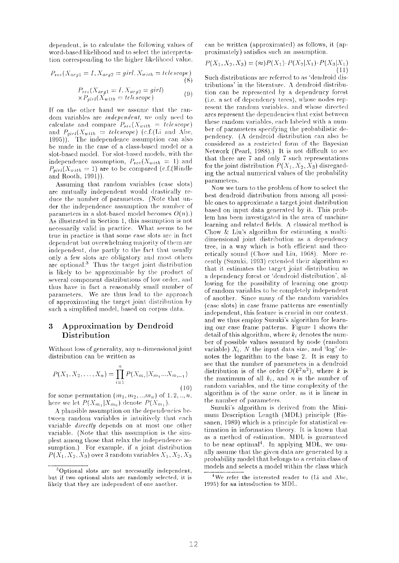dependent, is to calculate the following values of word-based likelihood and to select the interpretation corresponding to the higher likelihood value.

$$
P_{\text{see}}(X_{\text{arg1}} = I, X_{\text{arg2}} = \text{girl}, X_{\text{with}} = \text{telescope})
$$
\n(8)

$$
P_{\text{see}}(X_{\text{arg1}} = I, X_{\text{arg2}} = \text{girl})
$$
  
 
$$
\times P_{\text{girl}}(X_{\text{with}} = \text{telexcope})
$$
 (9)

If on the other hand we assume that the random variables are *independent*, we only need to calculate and compare  $P_{see}(X_{with} = telescope)$ and  $P_{girl}(X_{with} = telescope)$  (c.f.(Li and Abe, 1995)). The independence assumption can also be made in the case of a class-based model or a slot-based model. For slot-based models, with the independence assumption,  $P_{see}(X_{with} = 1)$  and  $P_{\text{airl}}(X_{\text{with}} = 1)$  are to be compared (c.f.(Hindle and Rooth, 1991)).

Assuming that random variables (case slots) are mutually independent would drastically reduce the number of parameters. (Note that under the independence assumption the number of parameters in a slot-based model becomes  $O(n)$ .) As illustrated in Section 1, this assumption is not necessarily valid in practice. What seems to be true in practice is that some case slots are in fact dependent but overwhelming majority of them are independent, due partly to the fact that usually only a few slots are obligatory and most others are optional.<sup>3</sup> Thus the target joint distribution is likely to be approximable by the product of several component distributions of low order, and thus have in fact a reasonably small number of parameters. We are thus lead to the approach of approximating the target joint distribution by such a simplified model, based on corpus data.

### **3 Approximation by Dendroid Distribution**

Without loss of generality, any n-dimensional joint distribution can be written as

$$
P(X_1, X_2, \dots, X_n) = \prod_{i=1}^n P(X_{m_i} | X_{m_1} \dots X_{m_{i-1}})
$$
\n(10)

for some permutation  $(m_1, m_2, ... m_n)$  of 1, 2, ..., n, here we let  $P(X_{m_1}|X_{m_0})$  denote  $P(X_{m_1})$ .

A plausible assumption on the dependencies between random variables is intuitively that each variable *directly* depends on at most one other variable. (Note that this assumption is the simplest among those that relax the independence assumption.) For example, if a joint distribution  $P(X_1, X_2, X_3)$  over 3 random variables  $X_1, X_2, X_3$  can be written (approximated) as follows, it (approximately) satisfies such an assumption.

$$
P(X_1, X_2, X_3) = (\approx) P(X_1) \cdot P(X_2 | X_1) \cdot P(X_3 | X_1)
$$
\n(11)

Such distributions are referred to as 'dendroid distributions' in the literature. A dendroid distribution can be represenled by a dependency forest (i.e. a set of dependency trees), whose nodes represent the random variables, and whose directed arcs represent the dependencies that exist between these random variables, each labeled with a number of parameters specifying the probabilistic dependency. (A dendroid distribution can also be considered as a restricted form of the Bayesian Network (Pearl, 1988).) It is not difficult to see that there are  $7$  and only  $7$  such representations for the joint distribution  $P(X_1, X_2, X_3)$  disregarding the actual numerical values of the probability parameters.

Now we turn to the problem of how to select the best dendroid distribution from among all possible ones to approximate a target joint distribution based on input data generated by it. This problem has been investigated in the area of machine learning and related fields. A classical method is Chow  $\&$  Liu's algorithm for estimating a multidimensional joint distribution as a dependency tree, in a way which is both efficient and theoretically sound (Chow and Liu, 1968). More recently (Suzuki, 1993) extended their algorithm so that it estimates the target joint distribution as a dependency Forest. or 'dendroid *distrihution',* allowing for the possibility of learning one group of random variables to be completely independent of another. Since many of the random variables (case slots) in case frame patterns are essentially independent, this feature is crucial in our context, and we thus employ Suzuki's algorithm for learning our case frame patterns. Figure 1 shows the detail of this algorithm, where  $k_i$  denotes the numher of possible values assumed by node (random variable)  $X_i$ , N the input data size, and  $\log'$  denotes the logarithm to the base 2. It is easy to see that the number of parameters in a dendroid distribution is of the order  $O(k^2n^2)$ , where k is the maximum of all  $k_i$ , and n is the number of random variables, and the time complexity of the algorithm is of the same order, as it is linear in the number of parameters.

Suzuki's algorithm is derived from the Minimum Description Length (MDL) principle *(Ris***sanen,** 1989) which is a principle for statistical estimation in information theory. It is known that as a method of estimation, MDL is guaranteed to be near optimal<sup>4</sup>. In applying MDL, we usually assume that the given data are generated by a probability model that belongs to a certain class of models and selects a model within the class which

 $3$ Optional slots are not necessarily independent, but if two optional slots are randomly selected, it is likely that they are independent of one another.

<sup>&</sup>lt;sup>4</sup>We refer the interested reader to (Li and Abe, 1995) for **an introduction to MDL.**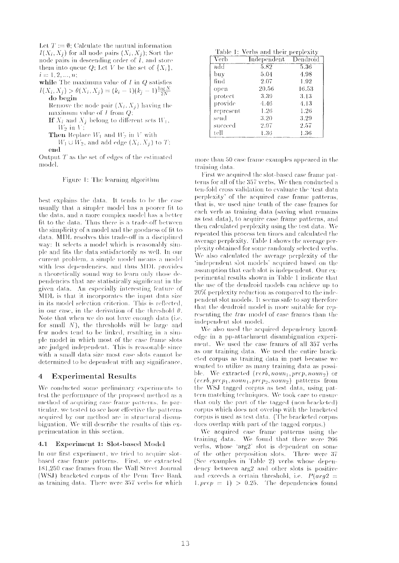Let  $T := \emptyset$ ; Calculate the mutual information  $I(X_i, X_j)$  for all node pairs  $(X_i, X_j)$ ; Sort the node pairs in descending order of  $I$ , and store them into queue Q; Let V be the set of  $\{X_i\}$ ,  $i = 1, 2, ..., n;$ 

while The maximum value of  $I$  in  $Q$  satisfies  $I(X_i, X_j) > \theta(X_i, X_j) = (k_i - 1)(k_j - 1) \frac{\log N}{2N}$ 

do begin Remove the node pair  $(X_i, X_j)$  having the maximum value of  $I$  from  $Q$ ;

If  $X_i$  and  $X_j$  belong to different sets  $W_1$ ,  $W_2$  in V;

**Then** Replace  $W_1$  and  $W_2$  in V with

 $W_1 \cup W_2$ , and add edge  $(X_i, X_j)$  to T:  $_{\mathrm{end}}$ 

Output  $T$  as the set of edges of the estimated model.

Figure 1: The learning algorithm

best explains the data. It tends to be the case usually that a simpler model has a poorer fit to the data, and a more complex model has a better fit to the data. Thus there is a trade-off between the simplicity of a model and the goodness of fit to data. MDL resolves this trade-off in a disciplined way: It selects a model which is reasonably simple and fits the data satisfactorily as well. In our current problem, a simple model means a model with less dependencies, and thus MDL provides a theoretically sound way to learn only those dependencies that are statistically significant in the given data. An especially interesting feature of MDL is that it incorporates the input data size in its model selection criterion. This is reflected, in our case, in the derivation of the threshold  $\theta$ . Note that when we do not have enough data (i.e. for small N), the thresholds will be large and few nodes tend to be linked, resulting in a simple model in which most of the case frame slots are judged independent. This is reasonable since with a small data size most case slots cannot be determined to be dependent with any significance.

#### $\overline{4}$ **Experimental Results**

We conducted some preliminary experiments to test the performance of the proposed method as a method of acquiring case frame patterns. In particular, we tested to see how effective the patterns acquired by our method are in structural disambiguation. We will describe the results of this experimentation in this section.

#### Experiment 1: Slot-based Model  $4.1$

In our first experiment, we tried to acquire slotbased case frame patterns. First, we extracted 181,250 case frames from the Wall Street Journal (WSJ) bracketed corpus of the Penn Tree Bank as training data. There were 357 verbs for which

Table 1: Verbs and their perplexity

| Verb      | Independent | Dendroid  |
|-----------|-------------|-----------|
| $\rm add$ | 5.82        | 5.36      |
| buy       | 5.04        | 4.98      |
| find      | 2.07        | 1.92      |
| open      | 20.56       | $16.53\,$ |
| protect   | 3.39        | 3.13      |
| provide   | 4.46        | 4.13      |
| represent | 1.26        | 1.26      |
| send      | 3.20        | 3.29      |
| succeed   | 2.97        | 2.57      |
| tell      | 1.36        | 1.36      |

more than 50 case frame examples appeared in the training data.

First we acquired the slot-based case frame patterns for all of the 357 verbs. We then conducted a ten-fold cross validation to evaluate the 'test data perplexity' of the acquired case frame patterns, that is, we used nine tenth of the case frames for each verb as training data (saving what remains as test data), to acquire case frame patterns, and then calculated perplexity using the test data. We repeated this process ten times and calculated the average perplexity. Table 1 shows the average perplexity obtained for some randomly selected verbs. We also calculated the average perplexity of the 'independent slot models' acquired based on the assumption that each slot is independent. Our experimental results shown in Table 1 indicate that the use of the dendroid models can achieve up to 20% perplexity reduction as compared to the independent slot models. It seems safe to say therefore that the dendroid model is more suitable for representing the true model of case frames than the independent slot model.

We also used the acquired dependency knowledge in a pp-attachment disambiguation experiment. We used the case frames of all 357 verbs as our training data. We used the entire bracketed corpus as training data in part because we wanted to utilize as many training data as possible. We extracted (verb, noun<sub>1</sub>, prep, noun<sub>2</sub>) or  $(verb, *prep*<sub>1</sub>, *noun*<sub>1</sub>, *prep*<sub>2</sub>, *noun*<sub>2</sub>)$  patterns from the WSJ tagged corpus as test data, using pattern matching techniques. We took care to ensure that only the part of the tagged (non-bracketed) corpus which does not overlap with the bracketed corpus is used as test data. (The bracketed corpus does overlap with part of the tagged corpus.)

We acquired case frame patterns using the training data. We found that there were 266 verbs, whose 'arg2' slot is dependent on some of the other preposition slots. There were 37 (See examples in Table 2) verbs whose dependency between arg2 and other slots is positive and exceeds a certain threshold, i.e.  $P(arg2 =$  $1, prep = 1) > 0.25$ . The dependencies found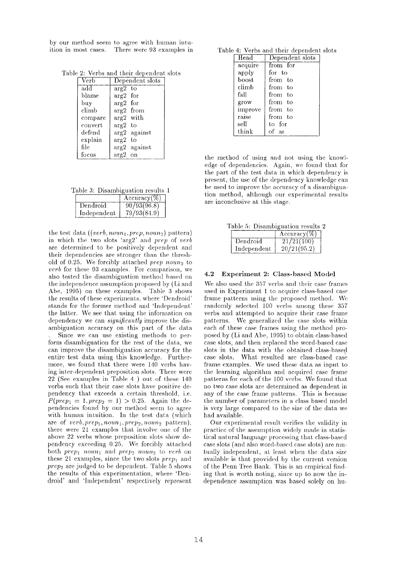by our method seem to agree with human intuition in most cases. There were 93 examples in

Table 2: Verbs and their dependent slots

| Verb    | Dependent slots |
|---------|-----------------|
| add     | $arg2$ to       |
| blame   | arg2 for        |
| buy     | $arg2$ for      |
| climb   | arg2 from       |
| compare | arg2 with       |
| convert | arg2<br>– to    |
| defend  | arg2 against    |
| explain | arg2<br>-to     |
| file    | arg2 against    |
| focus   | $arg2$ on       |

Table 3: Disambiguation results 1

|             | Accuracy $(\%)$ |
|-------------|-----------------|
| Dendroid    | 90/93(96.8)     |
| Independent | 79/93(84.9)     |

the test data  $((verb,noun,prep, noun_2)$  pattern) in which the two slots 'arg2' and *prep* of *verb* are determined to be positively dependent and their dependencies are stronger than the threshold of 0.25. We forcibly attached *prep noun*<sub>2</sub> to *verb* for these 93 examples. For comparison, we also tested the disambiguation method based on the independence assumption proposed by (Li and Abe, 1995) on these examples. Table 3 shows the results of these experiments, where 'Dendroid' stands for the former method and 'Independent' the latter. We see that using the information on dependency we can *significantly* improve the disambiguation accuracy on this part of the data

Since we can use existing methods to perform disambiguation for the rest of the data, we can improve the disambiguation accuracy for the entire test data using this knowledge. Furthermore, we found that there were 140 verbs having inter-dependent preposition slots. There were 22 (See examples in Table 4 ) out of these 140 verbs such that their ease slots hawe positive dependency that exceeds a certain threshold, i.e.  $P(prep_1 = 1, prep_2 = 1) > 0.25$ . Again the dependencies found by our method seem to agree with human intuition. In the test data (which are of  $verb,prep_1,noun_1,prep_2, noun_2$  pattern), there were 21 examples that involve one of the above 22 verbs whose preposition slots show dependency exceeding 0.25. We forcibly attached both *prep<sub>1</sub>* noun<sub>1</sub> and *prep<sub>2</sub>* noun<sub>2</sub> to *verb* on these 21 examples, since the two slots  $prep_1$  and *prep~* are judged to be dependent. Table 5 shows the results of this experimentation, where 'Dendroid' and 'Independent' respectively represent

Table 4: Verbs and their dependent slots

| Head              | Dependent slots |
|-------------------|-----------------|
| acquire           | from for        |
| apply             | for to          |
| $_{\text{boost}}$ | from to         |
| climb             | from to         |
| fall              | from to         |
| grow              | from to         |
| improve           | from to         |
| raise             | from to         |
| sell              | to for          |
| think             | - as            |

the method of using and not using the knowledge of dependencies. Again, we found that for the part of the test data in which dependency is present, the use of the dependency knowledge can be used to improve the accuracy of a disambiguation method, although our experimental results are inconclusive at this stage.

Table 5: Disambiguation results 2

|             | $Accuracy \$ |
|-------------|--------------|
| Dendroid    | 21/21(100)   |
| Independent | 20/21(95.2)  |

### 4.2 Experiment 2: Class-based Model

We also used the 357 verbs and their case frames used in Experiment 1 to acquire class-based case frame patterns using the proposed method. We randomly selected 100 verbs among these 35r verbs and attempted to acquire their case frame patterns. We generalized the case slots within each of these case frames using the method proposed by (Li and Abe, 1995) to obtain class-based case slots, and then replaced the word-based case slots in the data with the obtained class-based case slots. What resulted are class-based case frame examples. We used these data as input to the learning algorithm and acquired case frame patterns for each of the 100 verbs. We found that no two case slots are determined as dependent in any of the case frame patterns. This is because the number of parameters in a class based model is very large compared to the size of the data we had available.

Our experimental result verifies the validity in practice of the assumption widely made in statistical natural language processing that class-based case slots (and also word-based case slots) are mutually independent, at least when the data size available is that provided by the current version of the Penn Tree Bank. This is an empirical finding that is worth noting, since up to now the independence assumption was based solely on hu-